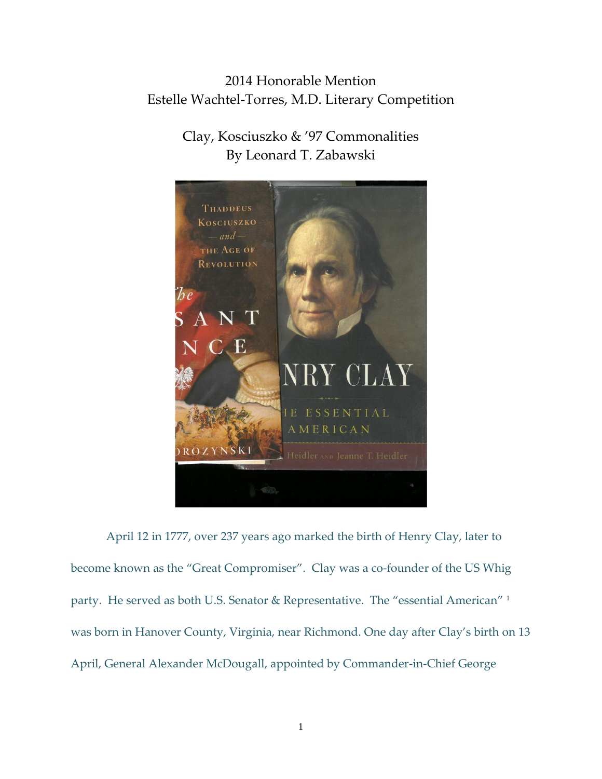## 2014 Honorable Mention Estelle Wachtel-Torres, M.D. Literary Competition

## Clay, Kosciuszko & '97 Commonalities By Leonard T. Zabawski



April 12 in 1777, over 237 years ago marked the birth of Henry Clay, later to become known as the "Great Compromiser". Clay was a co-founder of the US Whig party. He served as both U.S. Senator & Representative. The "essential American" <sup>1</sup> was born in Hanover County, Virginia, near Richmond. One day after Clay's birth on 13 April, General Alexander McDougall, appointed by Commander-in-Chief George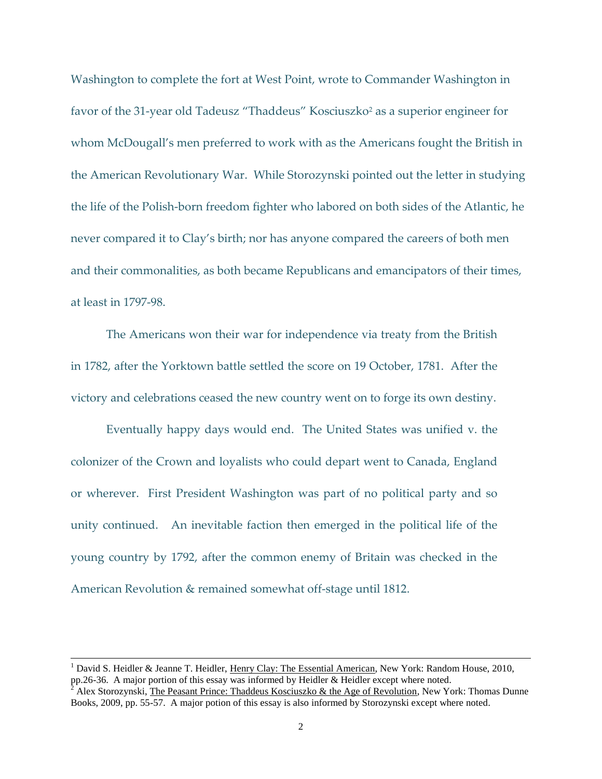Washington to complete the fort at West Point, wrote to Commander Washington in favor of the 31-year old Tadeusz "Thaddeus" Kosciuszko<sup>2</sup> as a superior engineer for whom McDougall's men preferred to work with as the Americans fought the British in the American Revolutionary War. While Storozynski pointed out the letter in studying the life of the Polish-born freedom fighter who labored on both sides of the Atlantic, he never compared it to Clay's birth; nor has anyone compared the careers of both men and their commonalities, as both became Republicans and emancipators of their times, at least in 1797-98.

The Americans won their war for independence via treaty from the British in 1782, after the Yorktown battle settled the score on 19 October, 1781. After the victory and celebrations ceased the new country went on to forge its own destiny.

Eventually happy days would end. The United States was unified v. the colonizer of the Crown and loyalists who could depart went to Canada, England or wherever. First President Washington was part of no political party and so unity continued. An inevitable faction then emerged in the political life of the young country by 1792, after the common enemy of Britain was checked in the American Revolution & remained somewhat off-stage until 1812.

<sup>&</sup>lt;sup>1</sup> David S. Heidler & Jeanne T. Heidler, Henry Clay: The Essential American, New York: Random House, 2010, pp.26-36. A major portion of this essay was informed by Heidler & Heidler except where noted.

Alex Storozynski, The Peasant Prince: Thaddeus Kosciuszko & the Age of Revolution, New York: Thomas Dunne Books, 2009, pp. 55-57. A major potion of this essay is also informed by Storozynski except where noted.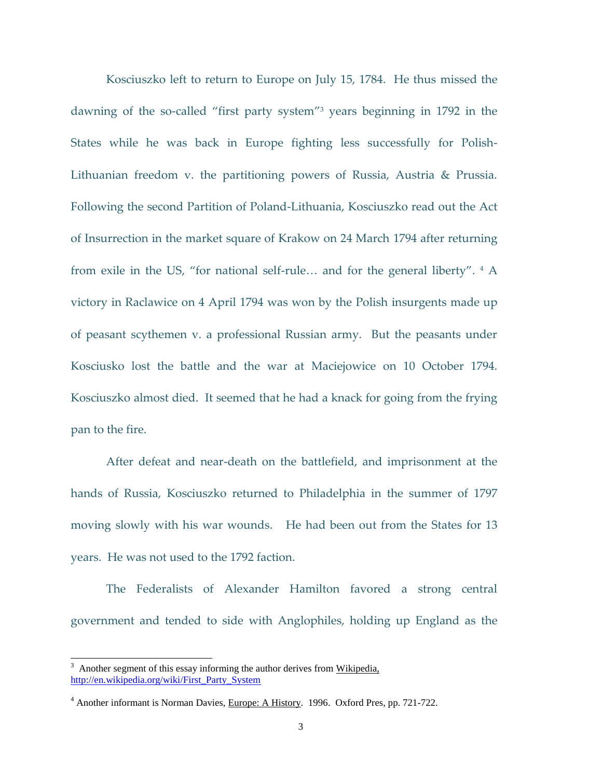Kosciuszko left to return to Europe on July 15, 1784. He thus missed the dawning of the so-called "first party system" <sup>3</sup> years beginning in 1792 in the States while he was back in Europe fighting less successfully for Polish-Lithuanian freedom v. the partitioning powers of Russia, Austria & Prussia. Following the second Partition of Poland-Lithuania, Kosciuszko read out the Act of Insurrection in the market square of Krakow on 24 March 1794 after returning from exile in the US, "for national self-rule... and for the general liberty". <sup>4</sup> A victory in Raclawice on 4 April 1794 was won by the Polish insurgents made up of peasant scythemen v. a professional Russian army. But the peasants under Kosciusko lost the battle and the war at Maciejowice on 10 October 1794. Kosciuszko almost died. It seemed that he had a knack for going from the frying pan to the fire.

After defeat and near-death on the battlefield, and imprisonment at the hands of Russia, Kosciuszko returned to Philadelphia in the summer of 1797 moving slowly with his war wounds. He had been out from the States for 13 years. He was not used to the 1792 faction.

The Federalists of Alexander Hamilton favored a strong central government and tended to side with Anglophiles, holding up England as the

 $3$  Another segment of this essay informing the author derives from Wikipedia, [http://en.wikipedia.org/wiki/First\\_Party\\_System](http://en.wikipedia.org/wiki/First_Party_System)

<sup>&</sup>lt;sup>4</sup> Another informant is Norman Davies, Europe: A History. 1996. Oxford Pres, pp. 721-722.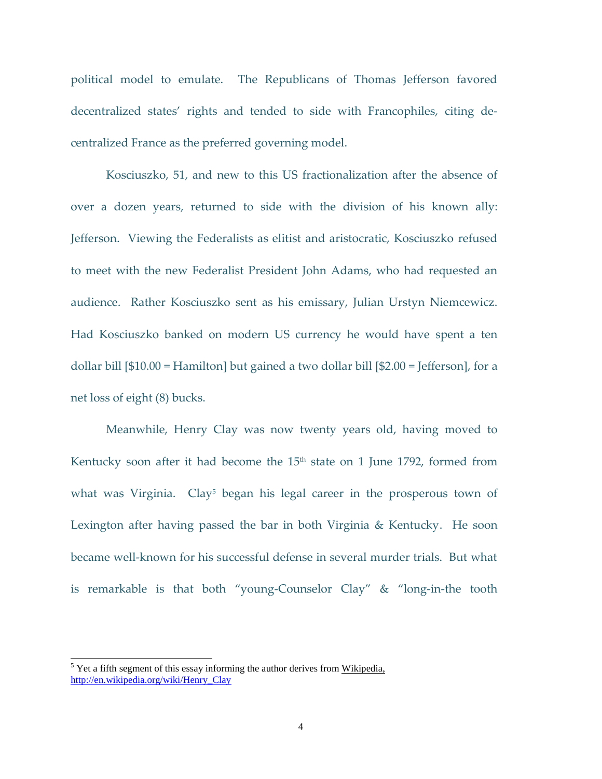political model to emulate. The Republicans of Thomas Jefferson favored decentralized states' rights and tended to side with Francophiles, citing decentralized France as the preferred governing model.

Kosciuszko, 51, and new to this US fractionalization after the absence of over a dozen years, returned to side with the division of his known ally: Jefferson. Viewing the Federalists as elitist and aristocratic, Kosciuszko refused to meet with the new Federalist President John Adams, who had requested an audience. Rather Kosciuszko sent as his emissary, Julian Urstyn Niemcewicz. Had Kosciuszko banked on modern US currency he would have spent a ten dollar bill [\$10.00 = Hamilton] but gained a two dollar bill [\$2.00 = Jefferson], for a net loss of eight (8) bucks.

Meanwhile, Henry Clay was now twenty years old, having moved to Kentucky soon after it had become the 15<sup>th</sup> state on 1 June 1792, formed from what was Virginia. Clay<sup>5</sup> began his legal career in the prosperous town of Lexington after having passed the bar in both Virginia & Kentucky. He soon became well-known for his successful defense in several murder trials. But what is remarkable is that both "young-Counselor Clay" & "long-in-the tooth

 $5$  Yet a fifth segment of this essay informing the author derives from Wikipedia, [http://en.wikipedia.org/wiki/Henry\\_Clay](http://en.wikipedia.org/wiki/Henry_Clay)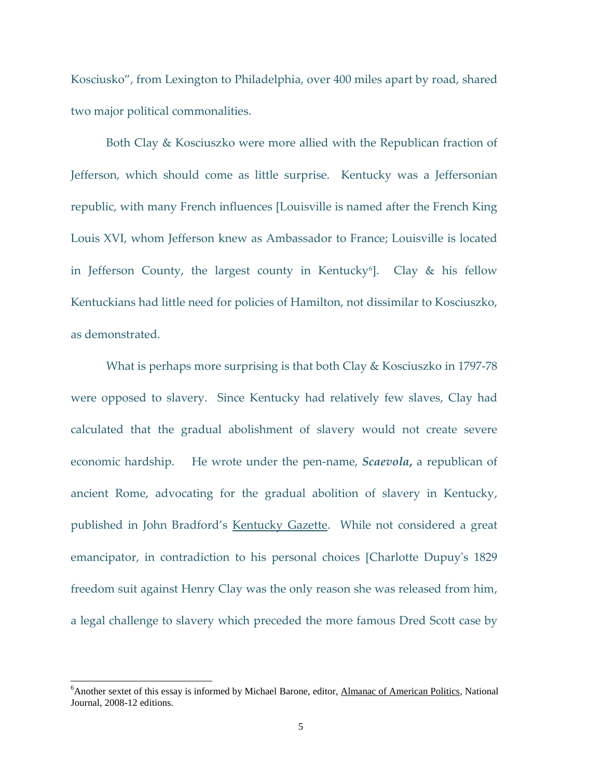Kosciusko", from Lexington to Philadelphia, over 400 miles apart by road, shared two major political commonalities.

Both Clay & Kosciuszko were more allied with the Republican fraction of Jefferson, which should come as little surprise. Kentucky was a Jeffersonian republic, with many French influences [Louisville is named after the French King Louis XVI, whom Jefferson knew as Ambassador to France; Louisville is located in Jefferson County, the largest county in Kentucky<sup>6</sup>]. Clay & his fellow Kentuckians had little need for policies of Hamilton, not dissimilar to Kosciuszko, as demonstrated.

What is perhaps more surprising is that both Clay & Kosciuszko in 1797-78 were opposed to slavery. Since Kentucky had relatively few slaves, Clay had calculated that the gradual abolishment of slavery would not create severe economic hardship. He wrote under the pen-name, *Scaevola***,** a republican of ancient Rome, advocating for the gradual abolition of slavery in Kentucky, published in John Bradford's Kentucky Gazette. While not considered a great emancipator, in contradiction to his personal choices [Charlotte Dupuy's 1829 freedom suit against Henry Clay was the only reason she was released from him, a legal challenge to slavery which preceded the more famous [Dred Scott](http://en.wikipedia.org/wiki/Dred_Scott) case by

<sup>&</sup>lt;sup>6</sup>Another sextet of this essay is informed by Michael Barone, editor, Almanac of American Politics, National Journal, 2008-12 editions.